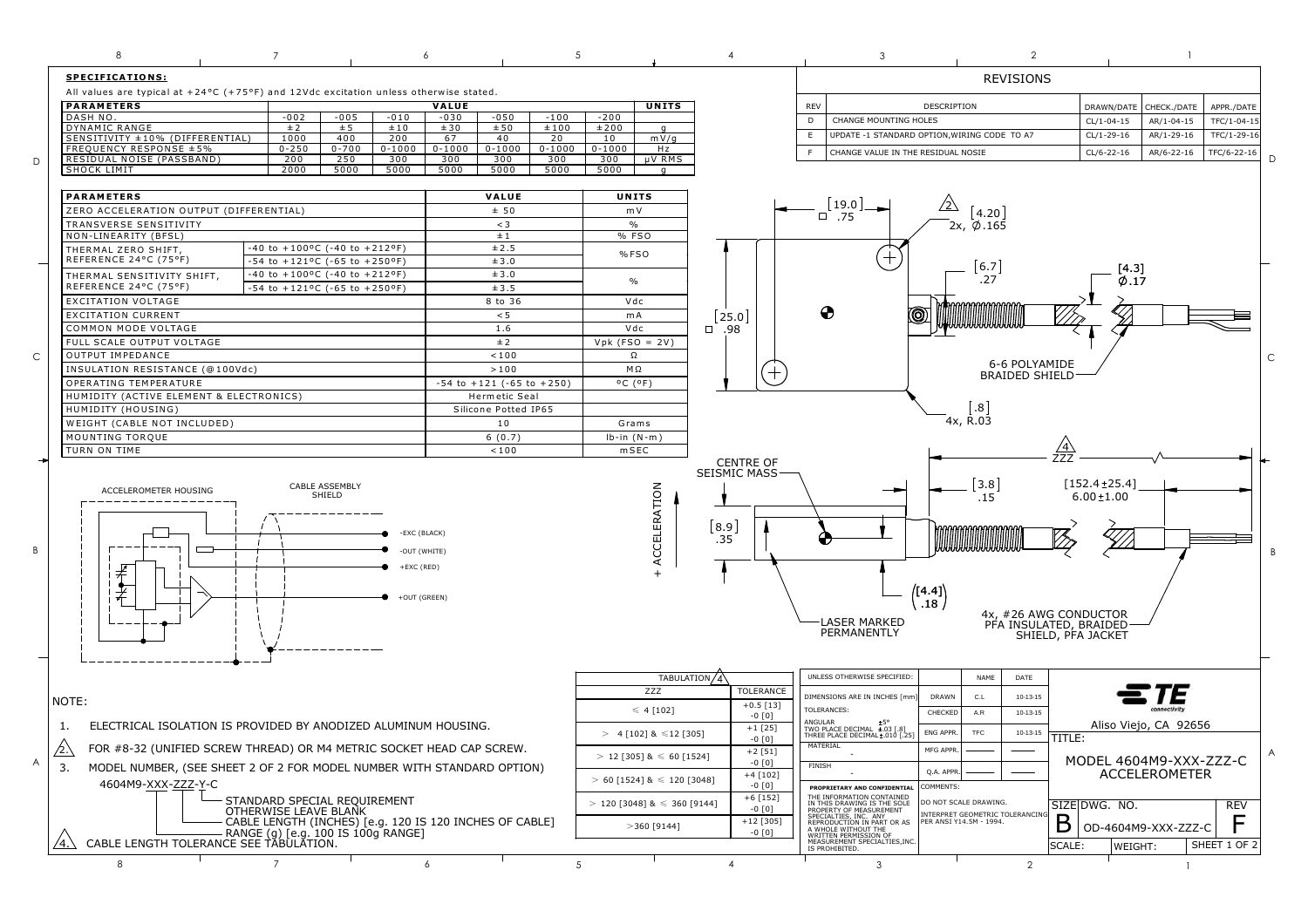|             | 8<br>$\overline{7}$                                                                                | 6                                                       | .5                                                           |                                 | $\mathfrak{D}$<br>3                                                                                                                           |                                |              |   |
|-------------|----------------------------------------------------------------------------------------------------|---------------------------------------------------------|--------------------------------------------------------------|---------------------------------|-----------------------------------------------------------------------------------------------------------------------------------------------|--------------------------------|--------------|---|
|             | <b>SPECIFICATIONS:</b>                                                                             |                                                         |                                                              | <b>REVISIONS</b>                |                                                                                                                                               |                                |              |   |
|             | All values are typical at $+24$ °C (+75°F) and 12Vdc excitation unless otherwise stated.           |                                                         |                                                              |                                 |                                                                                                                                               |                                |              |   |
|             | <b>PARAMETERS</b>                                                                                  | VALUE                                                   | <b>UNITS</b>                                                 |                                 | <b>REV</b><br>DESCRIPTION                                                                                                                     | CHECK./DATE<br>DRAWN/DATE      | APPR./DATE   |   |
|             | DASH NO.<br>$-002$<br>$-005$<br>$-010$                                                             | $-050$<br>$-030$<br>$-100$                              | $-200$                                                       |                                 | CHANGE MOUNTING HOLES<br>D                                                                                                                    | $CL/1 - 04 - 15$<br>AR/1-04-15 | TFC/1-04-1!  |   |
|             | <b>DYNAMIC RANGE</b><br>± 2<br>±10<br>± 5<br>SENSITIVITY ±10% (DIFFERENTIAL)<br>1000<br>400<br>200 | ±50<br>±100<br>±30<br>67<br>40<br>20                    | ±200<br>a<br>10<br>mV/q                                      |                                 | E<br>UPDATE -1 STANDARD OPTION, WIRING CODE TO A7                                                                                             | $CL/1 - 29 - 16$<br>AR/1-29-16 | TFC/1-29-16  |   |
|             | FREQUENCY RESPONSE ±5%<br>$0 - 250$<br>$0 - 700$<br>$0 - 1000$                                     | $0 - 1000$<br>$0 - 1000$<br>$0 - 1000$                  | $0 - 1000$<br>Hz                                             |                                 | CHANGE VALUE IN THE RESIDUAL NOSIE                                                                                                            | CL/6-22-16<br>AR/6-22-16       | TFC/6-22-16  |   |
| D           | RESIDUAL NOISE (PASSBAND)<br>200<br>250<br>300<br>SHOCK LIMIT<br>2000<br>5000<br>5000              | 300<br>300<br>300<br>5000<br>5000<br>5000               | 300<br>µV RMS<br>5000                                        |                                 |                                                                                                                                               |                                |              |   |
|             |                                                                                                    | $\mathsf{q}$                                            |                                                              |                                 |                                                                                                                                               |                                |              |   |
|             | <b>PARAMETERS</b>                                                                                  | VALUE                                                   | UNITS                                                        |                                 |                                                                                                                                               |                                |              |   |
|             | ZERO ACCELERATION OUTPUT (DIFFERENTIAL)                                                            | ± 50                                                    | m V                                                          |                                 | [19.0]<br>$\sqrt{2}$<br>4.20<br>$\square$ .75                                                                                                 |                                |              |   |
|             | TRANSVERSE SENSITIVITY                                                                             | $<$ 3                                                   | $\%$                                                         |                                 | $\varphi$ .165<br>2x,                                                                                                                         |                                |              |   |
|             | NON-LINEARITY (BFSL)<br>-40 to +100°C (-40 to +212°F)<br>THERMAL ZERO SHIFT.                       | ±1<br>±2.5                                              | % FSO                                                        |                                 |                                                                                                                                               |                                |              |   |
|             | REFERENCE 24°C (75°F)<br>$-54$ to $+121$ <sup>o</sup> C ( $-65$ to $+250$ <sup>o</sup> F)          | ±3.0                                                    | %FSO                                                         |                                 |                                                                                                                                               |                                |              |   |
|             | $-40$ to $+100$ <sup>o</sup> C ( $-40$ to $+212$ <sup>o</sup> F)<br>THERMAL SENSITIVITY SHIFT,     | ±3.0                                                    |                                                              |                                 | 6.7<br>.27                                                                                                                                    | [4.3]                          |              |   |
|             | REFERENCE 24°C (75°F)<br>$-54$ to $+121$ °C (-65 to +250°F)                                        | ±3.5                                                    | $\frac{0}{0}$                                                |                                 |                                                                                                                                               | $\varphi$ .17                  |              |   |
|             | <b>EXCITATION VOLTAGE</b>                                                                          | 8 to 36                                                 | Vdc                                                          |                                 |                                                                                                                                               |                                |              |   |
|             | <b>EXCITATION CURRENT</b>                                                                          | < 5                                                     | mA                                                           | 25.0                            | ⊕                                                                                                                                             |                                |              |   |
|             | COMMON MODE VOLTAGE                                                                                | 1.6                                                     | Vdc                                                          | $\Box$<br>.98                   |                                                                                                                                               |                                |              |   |
|             | FULL SCALE OUTPUT VOLTAGE<br>OUTPUT IMPEDANCE                                                      | ±2<br>< 100                                             | $Vpk$ (FSO = 2V)<br>Ω                                        |                                 |                                                                                                                                               |                                |              |   |
| $\mathsf C$ | INSULATION RESISTANCE (@100Vdc)                                                                    | >100                                                    | $M\,\Omega$                                                  |                                 | 6-6 POLYAMIDE                                                                                                                                 |                                |              | C |
|             | OPERATING TEMPERATURE<br>$-54$ to $+121$ ( $-65$ to $+250$ )                                       |                                                         | $^{\circ}$ C $(^{\circ}$ F)                                  | $\hspace{.1cm} + \hspace{.1cm}$ | <b>BRAIDED SHIELD</b>                                                                                                                         |                                |              |   |
|             | HUMIDITY (ACTIVE ELEMENT & ELECTRONICS)                                                            | Hermetic Seal                                           |                                                              |                                 |                                                                                                                                               |                                |              |   |
|             | HUMIDITY (HOUSING)                                                                                 | Silicone Potted IP65                                    |                                                              |                                 | .8 <sub>1</sub>                                                                                                                               |                                |              |   |
|             | WEIGHT (CABLE NOT INCLUDED)                                                                        | 10                                                      | Grams                                                        |                                 | 4x, R.03                                                                                                                                      |                                |              |   |
|             | MOUNTING TORQUE                                                                                    | 6(0.7)                                                  | $lb-in(N-m)$                                                 |                                 |                                                                                                                                               |                                |              |   |
|             | TURN ON TIME                                                                                       | < 100                                                   | $m$ SEC                                                      | <b>CENTRE OF</b>                |                                                                                                                                               |                                |              |   |
|             |                                                                                                    |                                                         |                                                              | SEISMIC MASS·                   | 3.8                                                                                                                                           | $[152.4 \pm 25.4]$             |              |   |
|             | CABLE ASSEMBLY<br>ACCELEROMETER HOUSING<br>SHIELD<br>-EXC (BLACK)                                  |                                                         |                                                              |                                 | .15                                                                                                                                           | $6.00 + 1.00$                  |              |   |
|             |                                                                                                    |                                                         |                                                              |                                 |                                                                                                                                               |                                |              |   |
|             |                                                                                                    |                                                         | ACCELERATION                                                 | 8.9                             |                                                                                                                                               |                                |              |   |
|             |                                                                                                    |                                                         |                                                              | .35                             |                                                                                                                                               |                                |              |   |
| B           |                                                                                                    | -OUT (WHITE)                                            |                                                              |                                 |                                                                                                                                               |                                |              | B |
|             |                                                                                                    | +EXC (RED)                                              |                                                              |                                 |                                                                                                                                               |                                |              |   |
|             | +OUT (GREEN)                                                                                       |                                                         |                                                              |                                 | ([4.4]                                                                                                                                        |                                |              |   |
|             |                                                                                                    |                                                         |                                                              |                                 | .18                                                                                                                                           |                                |              |   |
|             |                                                                                                    |                                                         |                                                              |                                 | 4x, #26 AWG CONDUCTOR<br><b>LASER MARKED</b><br>PFA INSULATED, BRAIDED                                                                        |                                |              |   |
|             |                                                                                                    |                                                         |                                                              |                                 | PERMANENTLY<br>SHIELD, PFA JACKET                                                                                                             |                                |              |   |
|             |                                                                                                    |                                                         |                                                              |                                 |                                                                                                                                               |                                |              |   |
|             |                                                                                                    |                                                         |                                                              |                                 | UNLESS OTHERWISE SPECIFIED                                                                                                                    |                                |              |   |
|             |                                                                                                    |                                                         | TABULATION/4<br>ZZZ                                          | TOLERANCE                       | NAME<br>DATE                                                                                                                                  |                                |              |   |
|             | NOTE:                                                                                              |                                                         |                                                              | $+0.5$ [13]                     | DIMENSIONS ARE IN INCHES [mm<br><b>DRAWN</b><br>C.L<br>$10 - 13 - 15$                                                                         |                                |              |   |
|             | ELECTRICAL ISOLATION IS PROVIDED BY ANODIZED ALUMINUM HOUSING.                                     |                                                         | $\leqslant$ 4 [102]                                          | $-0$ [0]                        | TOLERANCES:<br>CHECKED<br>A.R<br>$10 - 13 - 15$                                                                                               |                                |              |   |
|             |                                                                                                    |                                                         | $> 4$ [102] & $\leq$ 12 [305]                                | $+1$ [25]<br>$-0$ [0]           | ANGULAR<br>TWO PLACE DECIMAL ±.03 [.8]<br>THREE PLACE DECIMAL±.010 [.25]<br>ENG APPR.<br><b>TFC</b><br>$10 - 13 - 15$<br>TITLE:               | Aliso Viejo, CA 92656          |              |   |
|             | $\triangle$<br>FOR #8-32 (UNIFIED SCREW THREAD) OR M4 METRIC SOCKET HEAD CAP SCREW.<br>$/2$ .\     |                                                         | $+2[51]$<br>$>$ 12 [305] & $\leqslant$ 60 [1524]<br>$-0$ [0] |                                 | 1A I EKIAL<br>MFG APPR                                                                                                                        |                                |              | Α |
| A           | 3.<br>MODEL NUMBER, (SEE SHEET 2 OF 2 FOR MODEL NUMBER WITH STANDARD OPTION)                       |                                                         |                                                              |                                 | FINISH<br>Q.A. APPR                                                                                                                           | MODEL 4604M9-XXX-ZZZ-C         |              |   |
|             | 4604M9-XXX-ZZZ-Y-C                                                                                 |                                                         | $+4[102]$<br>$> 60$ [1524] & $\leq$ 120 [3048]<br>$-0$ [0]   |                                 | COMMENTS:<br>PROPRIETARY AND CONFIDENTIAL                                                                                                     | <b>ACCELEROMETER</b>           |              |   |
|             | STANDARD SPECIAL REQUIREMENT                                                                       |                                                         | $>$ 120 [3048] & $\leq$ 360 [9144]                           | $+6$ [152]                      | THE INFORMATION CONTAINED<br>DO NOT SCALE DRAWING.                                                                                            |                                |              |   |
|             | OTHERWISE LEAVE BLANK                                                                              |                                                         |                                                              | $-0$ [0]                        | IN THIS DRAWING IS THE SOLE<br>PROPERTY OF MEASUREMENT<br>INTERPRET GEOMETRIC TOLERANCING<br>PER ANSI Y14.5M - 1994.<br>SPECIALTIES, INC. ANY | SIZE DWG. NO.                  | <b>REV</b>   |   |
|             | RANGE (g) [e.g. 100 IS 100g RANGE]                                                                 | CABLE LENGTH (INCHES) [e.g. 120 IS 120 INCHES OF CABLE] |                                                              | $+12$ [305]<br>$-0$ [0]         | B<br>REPRODUCTION IN PART OR AS<br>A WHOLE WITHOUT THE WRITTEN PERMISSION OF                                                                  | OD-4604M9-XXX-ZZZ-C            | F            |   |
|             | $/4. \setminus$<br>CABLE LENGTH TOLERANCE SEE TABULATION.                                          |                                                         |                                                              |                                 | MEASUREMENT SPECIALTIES, INC.<br>SCALE:                                                                                                       | WEIGHT:                        | SHEET 1 OF 2 |   |
|             | $\overline{7}$<br>8                                                                                | 6                                                       | 5                                                            | $\overline{4}$                  | $\overline{2}$<br>3                                                                                                                           | $\overline{1}$                 |              |   |
|             |                                                                                                    |                                                         |                                                              |                                 |                                                                                                                                               |                                |              |   |